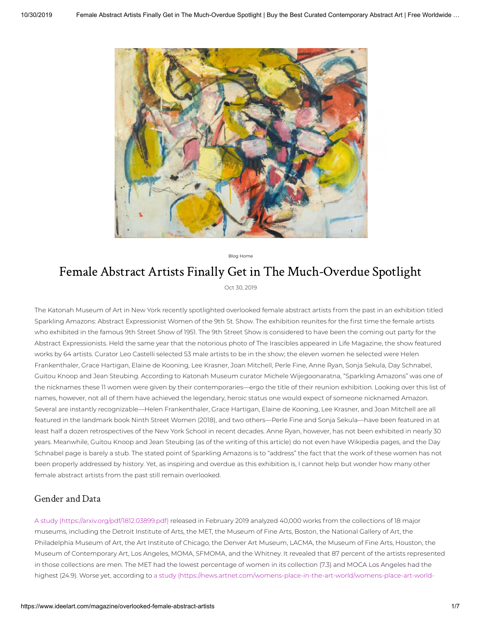

Blog Home

# Female Abstract Artists Finally Get in The Much-Overdue Spotlight

Oct 30, 2019

The Katonah Museum of Art in New York recently spotlighted overlooked female abstract artists from the past in an exhibition titled Sparkling Amazons: Abstract Expressionist Women of the 9th St. Show. The exhibition reunites for the first time the female artists who exhibited in the famous 9th Street Show of 1951. The 9th Street Show is considered to have been the coming out party for the Abstract Expressionists. Held the same year that the notorious photo of The Irascibles appeared in Life Magazine, the show featured works by 64 artists. Curator Leo Castelli selected 53 male artists to be in the show; the eleven women he selected were Helen Frankenthaler, Grace Hartigan, Elaine de Kooning, Lee Krasner, Joan Mitchell, Perle Fine, Anne Ryan, Sonja Sekula, Day Schnabel, Guitou Knoop and Jean Steubing. According to Katonah Museum curator Michele Wijegoonaratna, "Sparkling Amazons" was one of the nicknames these 11 women were given by their contemporaries—ergo the title of their reunion exhibition. Looking over this list of names, however, not all of them have achieved the legendary, heroic status one would expect of someone nicknamed Amazon. Several are instantly recognizable—Helen Frankenthaler, Grace Hartigan, Elaine de Kooning, Lee Krasner, and Joan Mitchell are all featured in the landmark book Ninth Street Women (2018), and two others—Perle Fine and Sonja Sekula—have been featured in at least half a dozen retrospectives of the New York School in recent decades. Anne Ryan, however, has not been exhibited in nearly 30 years. Meanwhile, Guitou Knoop and Jean Steubing (as of the writing of this article) do not even have Wikipedia pages, and the Day Schnabel page is barely a stub. The stated point of Sparkling Amazons is to "address" the fact that the work of these women has not been properly addressed by history. Yet, as inspiring and overdue as this exhibition is, I cannot help but wonder how many other female abstract artists from the past still remain overlooked.

### Gender and Data

A study [\(https://arxiv.org/pdf/1812.03899.pdf\)](https://arxiv.org/pdf/1812.03899.pdf) released in February 2019 analyzed 40,000 works from the collections of 18 major museums, including the Detroit Institute of Arts, the MET, the Museum of Fine Arts, Boston, the National Gallery of Art, the Philadelphia Museum of Art, the Art Institute of Chicago, the Denver Art Museum, LACMA, the Museum of Fine Arts, Houston, the Museum of Contemporary Art, Los Angeles, MOMA, SFMOMA, and the Whitney. It revealed that 87 percent of the artists represented in those collections are men. The MET had the lowest percentage of women in its collection (7.3) and MOCA Los Angeles had the highest (24.9). Worse yet, according to a study [\(https://news.artnet.com/womens-place-in-the-art-world/womens-place-art-world-](https://news.artnet.com/womens-place-in-the-art-world/womens-place-art-world-museums-1654714)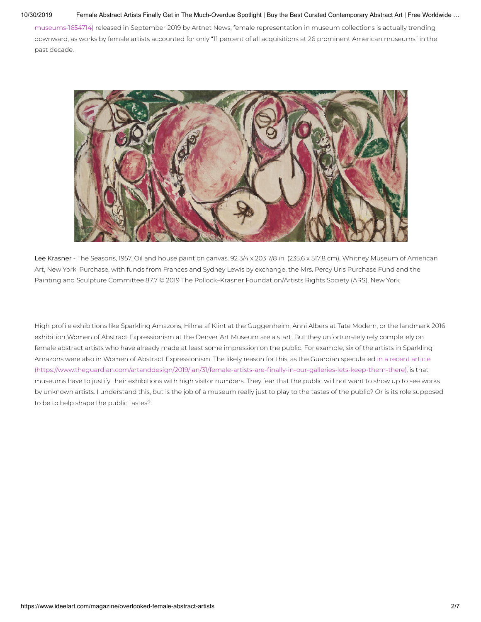#### 10/30/2019 Female Abstract Artists Finally Get in The Much-Overdue Spotlight | Buy the Best Curated Contemporary Abstract Art | Free Worldwide …

[museums-1654714\)](https://news.artnet.com/womens-place-in-the-art-world/womens-place-art-world-museums-1654714) released in September 2019 by Artnet News, female representation in museum collections is actually trending downward, as works by female artists accounted for only "11 percent of all acquisitions at 26 prominent American museums" in the past decade.



Lee Krasner - The Seasons, 1957. Oil and house paint on canvas. 92 3/4 x 203 7/8 in. (235.6 x 517.8 cm). Whitney Museum of American Art, New York; Purchase, with funds from Frances and Sydney Lewis by exchange, the Mrs. Percy Uris Purchase Fund and the Painting and Sculpture Committee 87.7 © 2019 The Pollock–Krasner Foundation/Artists Rights Society (ARS), New York

High profile exhibitions like Sparkling Amazons, Hilma af Klint at the Guggenheim, Anni Albers at Tate Modern, or the landmark 2016 exhibition Women of Abstract Expressionism at the Denver Art Museum are a start. But they unfortunately rely completely on female abstract artists who have already made at least some impression on the public. For example, six of the artists in Sparkling Amazons were also in Women of Abstract Expressionism. The likely reason for this, as the Guardian speculated in a recent article (https://www.theguardian.com/artanddesign/2019/jan/31/female-artists-are-finally-in-our-galleries-lets-keep-them-there), is that museums have to justify their exhibitions with high visitor numbers. They fear that the public will not want to show up to see works by unknown artists. I understand this, but is the job of a museum really just to play to the tastes of the public? Or is its role supposed to be to help shape the public tastes?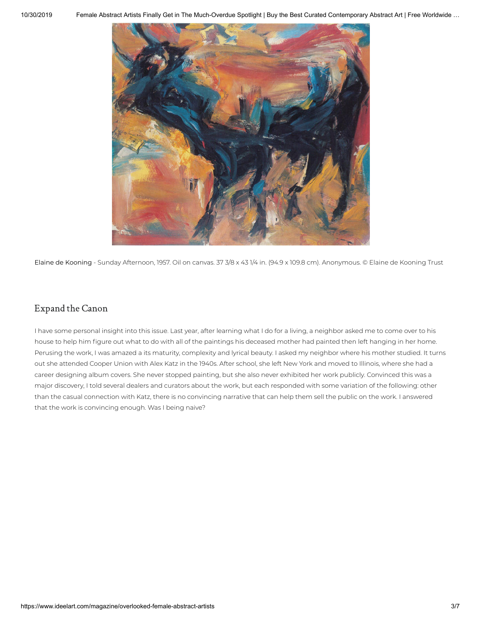

Elaine de Kooning - Sunday Afternoon, 1957. Oil on canvas. 37 3/8 x 43 1/4 in. (94.9 x 109.8 cm). Anonymous. © Elaine de Kooning Trust

## Expand the Canon

I have some personal insight into this issue. Last year, after learning what I do for a living, a neighbor asked me to come over to his house to help him figure out what to do with all of the paintings his deceased mother had painted then left hanging in her home. Perusing the work, I was amazed a its maturity, complexity and lyrical beauty. I asked my neighbor where his mother studied. It turns out she attended Cooper Union with Alex Katz in the 1940s. After school, she left New York and moved to Illinois, where she had a career designing album covers. She never stopped painting, but she also never exhibited her work publicly. Convinced this was a major discovery, I told several dealers and curators about the work, but each responded with some variation of the following: other than the casual connection with Katz, there is no convincing narrative that can help them sell the public on the work. I answered that the work is convincing enough. Was I being naive?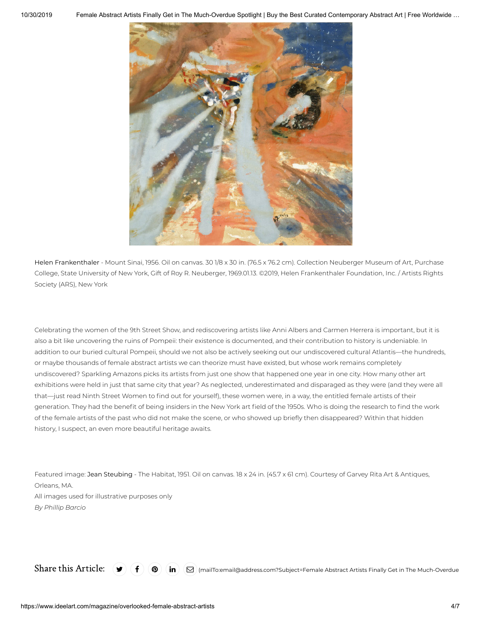

Helen Frankenthaler - Mount Sinai, 1956. Oil on canvas. 30 1/8 x 30 in. (76.5 x 76.2 cm). Collection Neuberger Museum of Art, Purchase College, State University of New York, Gift of Roy R. Neuberger, 1969.01.13. ©2019, Helen Frankenthaler Foundation, Inc. / Artists Rights Society (ARS), New York

Celebrating the women of the 9th Street Show, and rediscovering artists like Anni Albers and Carmen Herrera is important, but it is also a bit like uncovering the ruins of Pompeii: their existence is documented, and their contribution to history is undeniable. In addition to our buried cultural Pompeii, should we not also be actively seeking out our undiscovered cultural Atlantis—the hundreds, or maybe thousands of female abstract artists we can theorize must have existed, but whose work remains completely undiscovered? Sparkling Amazons picks its artists from just one show that happened one year in one city. How many other art exhibitions were held in just that same city that year? As neglected, underestimated and disparaged as they were (and they were all that—just read Ninth Street Women to find out for yourself), these women were, in a way, the entitled female artists of their generation. They had the benefit of being insiders in the New York art field of the 1950s. Who is doing the research to find the work of the female artists of the past who did not make the scene, or who showed up briefly then disappeared? Within that hidden history, I suspect, an even more beautiful heritage awaits.

Featured image: Jean Steubing - The Habitat, 1951. Oil on canvas. 18 x 24 in. (45.7 x 61 cm). Courtesy of Garvey Rita Art & Antiques, Orleans, MA. All images used for illustrative purposes only *By Phillip Barcio*

 $\text{Share this Article: } (\blacktriangleright) (\blacklozenge)$   $(\mathbf{in}) (\textup{o})$   $(\mathbf{in})$  [\(mailTo:email@address.com?Subject=Female](mailto:email@address.com?Subject=Female%20Abstract%20Artists%20Finally%20Get%20in%20The%20Much-Overdue%20Spotlight%20https://www.ideelart.com//magazine/overlooked-female-abstract-artists) Abstract Artists Finally Get in The Much-Overdue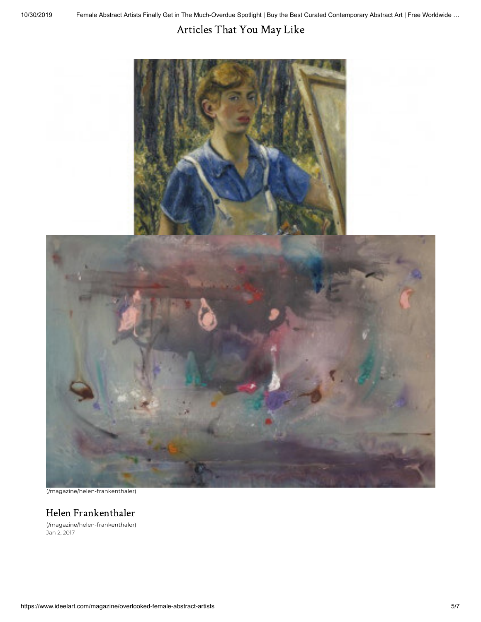# Articles That You May Like





(/magazine/helen-frankenthaler)

## [Helen Frankenthaler](https://www.ideelart.com/magazine/helen-frankenthaler)

(/magazine/helen-frankenthaler) Jan 2, 2017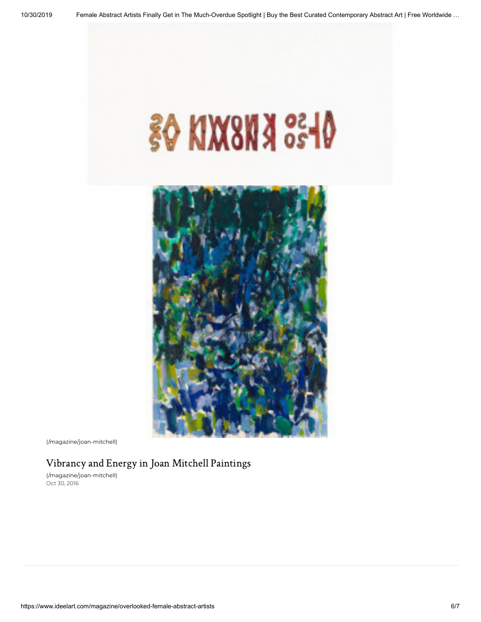



(/magazine/joan-mitchell)

## [Vibrancy and Energy in Joan Mitchell Paintings](https://www.ideelart.com/magazine/joan-mitchell)

(/magazine/joan-mitchell) Oct 30, 2016